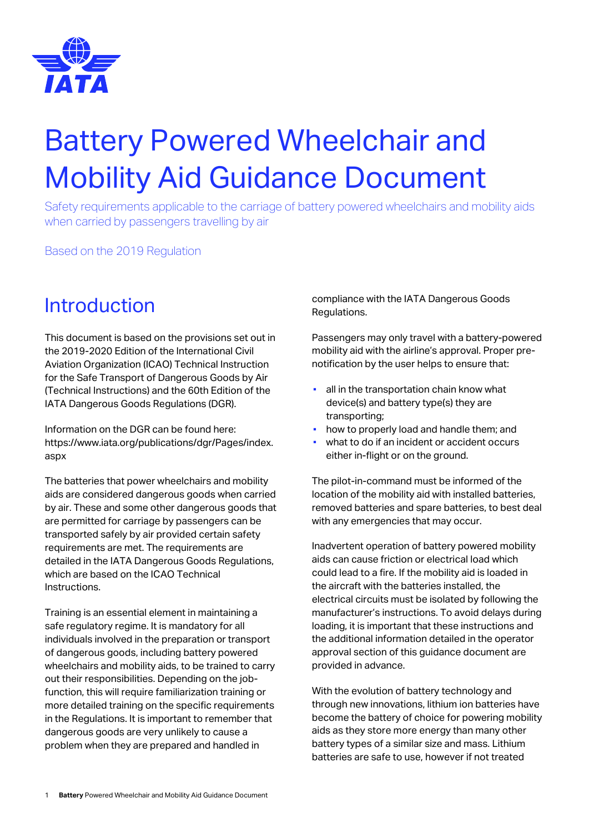

# Battery Powered Wheelchair and Mobility Aid Guidance Document

Safety requirements applicable to the carriage of battery powered wheelchairs and mobility aids when carried by passengers travelling by air

Based on the 2019 Regulation

### Introduction

This document is based on the provisions set out in the 2019-2020 Edition of the International Civil Aviation Organization (ICAO) Technical Instruction for the Safe Transport of Dangerous Goods by Air (Technical Instructions) and the 60th Edition of the IATA Dangerous Goods Regulations (DGR).

Information on the DGR can be found here: https://www.iata.org/publications/dgr/Pages/index. aspx

The batteries that power wheelchairs and mobility aids are considered dangerous goods when carried by air. These and some other dangerous goods that are permitted for carriage by passengers can be transported safely by air provided certain safety requirements are met. The requirements are detailed in the IATA Dangerous Goods Regulations, which are based on the ICAO Technical Instructions.

Training is an essential element in maintaining a safe regulatory regime. It is mandatory for all individuals involved in the preparation or transport of dangerous goods, including battery powered wheelchairs and mobility aids, to be trained to carry out their responsibilities. Depending on the jobfunction, this will require familiarization training or more detailed training on the specific requirements in the Regulations. It is important to remember that dangerous goods are very unlikely to cause a problem when they are prepared and handled in

compliance with the IATA Dangerous Goods Regulations.

Passengers may only travel with a battery-powered mobility aid with the airline's approval. Proper prenotification by the user helps to ensure that:

- **E** all in the transportation chain know what device(s) and battery type(s) they are transporting;
- how to properly load and handle them; and
- what to do if an incident or accident occurs either in-flight or on the ground.

The pilot-in-command must be informed of the location of the mobility aid with installed batteries, removed batteries and spare batteries, to best deal with any emergencies that may occur.

Inadvertent operation of battery powered mobility aids can cause friction or electrical load which could lead to a fire. If the mobility aid is loaded in the aircraft with the batteries installed, the electrical circuits must be isolated by following the manufacturer's instructions. To avoid delays during loading, it is important that these instructions and the additional information detailed in the operator approval section of this guidance document are provided in advance.

With the evolution of battery technology and through new innovations, lithium ion batteries have become the battery of choice for powering mobility aids as they store more energy than many other battery types of a similar size and mass. Lithium batteries are safe to use, however if not treated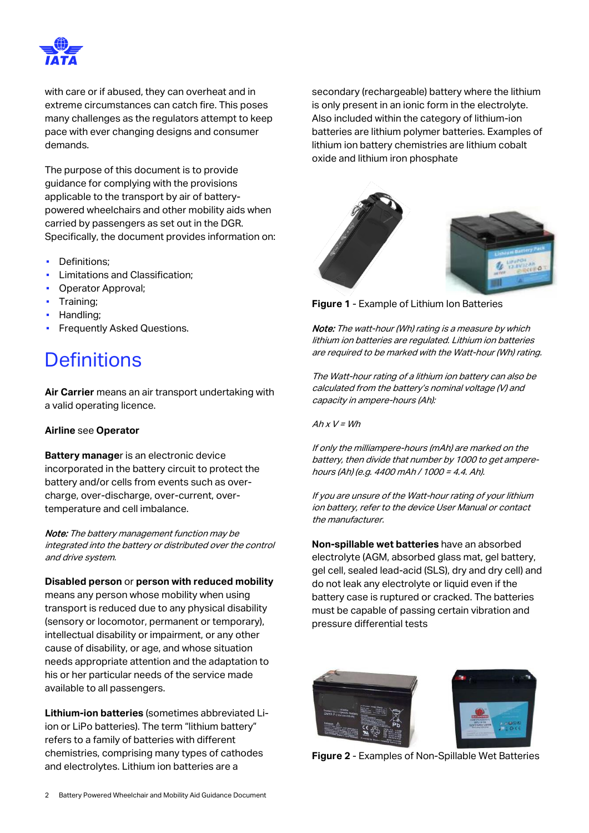

with care or if abused, they can overheat and in extreme circumstances can catch fire. This poses many challenges as the regulators attempt to keep pace with ever changing designs and consumer demands.

The purpose of this document is to provide guidance for complying with the provisions applicable to the transport by air of batterypowered wheelchairs and other mobility aids when carried by passengers as set out in the DGR. Specifically, the document provides information on:

- Definitions:
- Limitations and Classification;
- Operator Approval;
- **•** Training:
- Handling;
- **Frequently Asked Questions.**

### **Definitions**

**Air Carrier** means an air transport undertaking with a valid operating licence.

#### **Airline** see **Operator**

**Battery manage**r is an electronic device incorporated in the battery circuit to protect the battery and/or cells from events such as overcharge, over-discharge, over-current, overtemperature and cell imbalance.

Note: The battery management function may be integrated into the battery or distributed over the control and drive system.

**Disabled person** or **person with reduced mobility** means any person whose mobility when using transport is reduced due to any physical disability (sensory or locomotor, permanent or temporary), intellectual disability or impairment, or any other cause of disability, or age, and whose situation needs appropriate attention and the adaptation to his or her particular needs of the service made available to all passengers.

**Lithium-ion batteries** (sometimes abbreviated Liion or LiPo batteries). The term "lithium battery" refers to a family of batteries with different chemistries, comprising many types of cathodes and electrolytes. Lithium ion batteries are a

secondary (rechargeable) battery where the lithium is only present in an ionic form in the electrolyte. Also included within the category of lithium-ion batteries are lithium polymer batteries. Examples of lithium ion battery chemistries are lithium cobalt oxide and lithium iron phosphate



**Figure 1** - Example of Lithium Ion Batteries

Note: The watt-hour (Wh) rating is a measure by which lithium ion batteries are regulated. Lithium ion batteries are required to be marked with the Watt-hour (Wh) rating.

The Watt-hour rating of a lithium ion battery can also be calculated from the battery's nominal voltage (V) and capacity in ampere-hours (Ah):

 $A h x V = W h$ 

If only the milliampere-hours (mAh) are marked on the battery, then divide that number by 1000 to get amperehours (Ah) (e.g. 4400 mAh / 1000 = 4.4. Ah).

If you are unsure of the Watt-hour rating of your lithium ion battery, refer to the device User Manual or contact the manufacturer.

**Non-spillable wet batteries** have an absorbed electrolyte (AGM, absorbed glass mat, gel battery, gel cell, sealed lead-acid (SLS), dry and dry cell) and do not leak any electrolyte or liquid even if the battery case is ruptured or cracked. The batteries must be capable of passing certain vibration and pressure differential tests



**Figure 2** - Examples of Non-Spillable Wet Batteries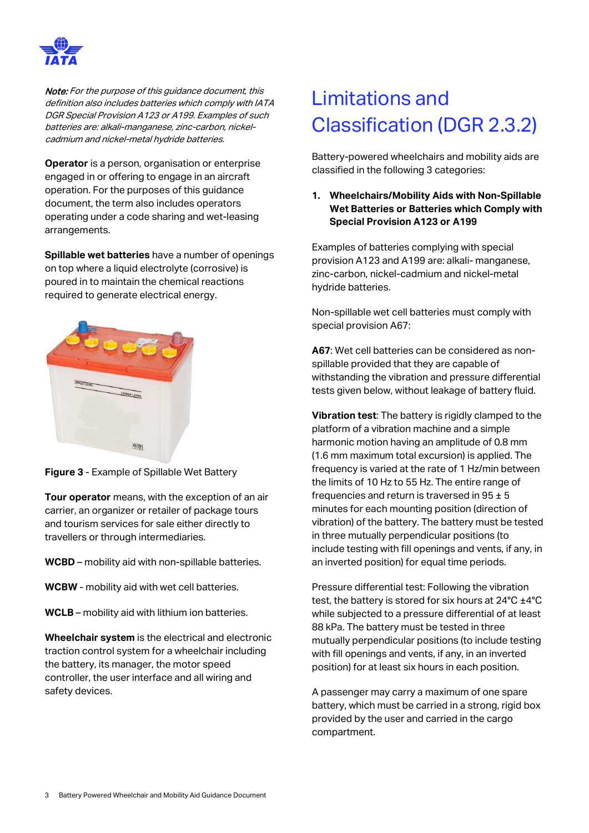

Note: For the purpose of this guidance document, this definition also includes batteries which comply with IATA DGR Special Provision A123 or A199. Examples of such batteries are: alkali-manganese, zinc-carbon, nickelcadmium and nickel-metal hydride batteries.

**Operator** is a person, organisation or enterprise engaged in or offering to engage in an aircraft operation. For the purposes of this guidance document, the term also includes operators operating under a code sharing and wet-leasing arrangements.

**Spillable wet batteries** have a number of openings on top where a liquid electrolyte (corrosive) is poured in to maintain the chemical reactions required to generate electrical energy.



**Figure 3** - Example of Spillable Wet Battery

**Tour operator** means, with the exception of an air carrier, an organizer or retailer of package tours and tourism services for sale either directly to travellers or through intermediaries.

**WCBD** – mobility aid with non-spillable batteries.

**WCBW** - mobility aid with wet cell batteries.

**WCLB** – mobility aid with lithium ion batteries.

**Wheelchair system** is the electrical and electronic traction control system for a wheelchair including the battery, its manager, the motor speed controller, the user interface and all wiring and safety devices.

## Limitations and Classification (DGR 2.3.2)

Battery-powered wheelchairs and mobility aids are classified in the following 3 categories:

#### **1. Wheelchairs/Mobility Aids with Non-Spillable Wet Batteries or Batteries which Comply with Special Provision A123 or A199**

Examples of batteries complying with special provision A123 and A199 are: alkali- manganese, zinc-carbon, nickel-cadmium and nickel-metal hydride batteries.

Non-spillable wet cell batteries must comply with special provision A67:

**A67**: Wet cell batteries can be considered as nonspillable provided that they are capable of withstanding the vibration and pressure differential tests given below, without leakage of battery fluid.

**Vibration test**: The battery is rigidly clamped to the platform of a vibration machine and a simple harmonic motion having an amplitude of 0.8 mm (1.6 mm maximum total excursion) is applied. The frequency is varied at the rate of 1 Hz/min between the limits of 10 Hz to 55 Hz. The entire range of frequencies and return is traversed in  $95 \pm 5$ minutes for each mounting position (direction of vibration) of the battery. The battery must be tested in three mutually perpendicular positions (to include testing with fill openings and vents, if any, in an inverted position) for equal time periods.

Pressure differential test: Following the vibration test, the battery is stored for six hours at 24°C ±4°C while subjected to a pressure differential of at least 88 kPa. The battery must be tested in three mutually perpendicular positions (to include testing with fill openings and vents, if any, in an inverted position) for at least six hours in each position.

A passenger may carry a maximum of one spare battery, which must be carried in a strong, rigid box provided by the user and carried in the cargo compartment.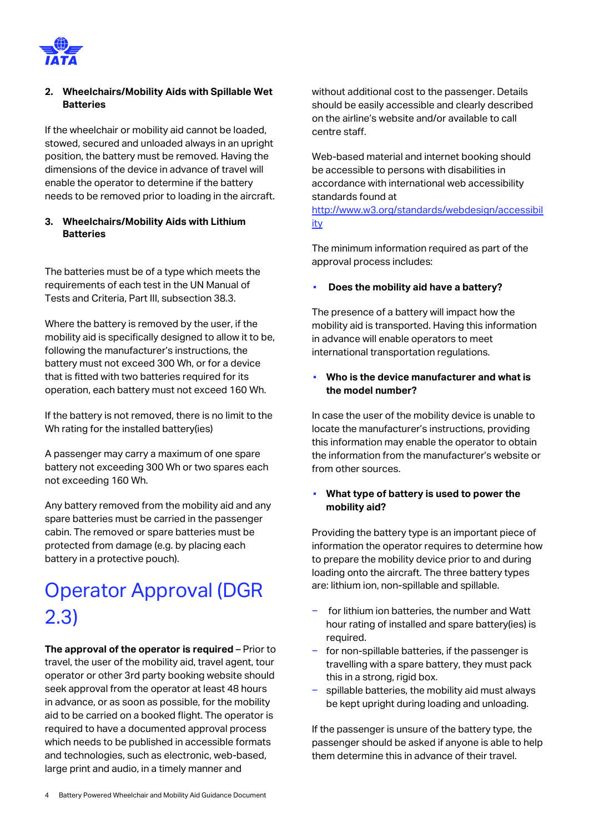

#### **2. Wheelchairs/Mobility Aids with Spillable Wet Batteries**

If the wheelchair or mobility aid cannot be loaded, stowed, secured and unloaded always in an upright position, the battery must be removed. Having the dimensions of the device in advance of travel will enable the operator to determine if the battery needs to be removed prior to loading in the aircraft.

#### **3. Wheelchairs/Mobility Aids with Lithium Batteries**

The batteries must be of a type which meets the requirements of each test in the UN Manual of Tests and Criteria, Part III, subsection 38.3.

Where the battery is removed by the user, if the mobility aid is specifically designed to allow it to be, following the manufacturer's instructions, the battery must not exceed 300 Wh, or for a device that is fitted with two batteries required for its operation, each battery must not exceed 160 Wh.

If the battery is not removed, there is no limit to the Wh rating for the installed battery(ies)

A passenger may carry a maximum of one spare battery not exceeding 300 Wh or two spares each not exceeding 160 Wh.

Any battery removed from the mobility aid and any spare batteries must be carried in the passenger cabin. The removed or spare batteries must be protected from damage (e.g. by placing each battery in a protective pouch).

### Operator Approval (DGR 2.3)

**The approval of the operator is required** – Prior to travel, the user of the mobility aid, travel agent, tour operator or other 3rd party booking website should seek approval from the operator at least 48 hours in advance, or as soon as possible, for the mobility aid to be carried on a booked flight. The operator is required to have a documented approval process which needs to be published in accessible formats and technologies, such as electronic, web-based, large print and audio, in a timely manner and

without additional cost to the passenger. Details should be easily accessible and clearly described on the airline's website and/or available to call centre staff.

Web-based material and internet booking should be accessible to persons with disabilities in accordance with international web accessibility standards found at

[http://www.w3.org/standards/webdesign/accessibil](http://www.w3.org/standards/webdesign/accessibility) [ity](http://www.w3.org/standards/webdesign/accessibility)

The minimum information required as part of the approval process includes:

#### ▪ **Does the mobility aid have a battery?**

The presence of a battery will impact how the mobility aid is transported. Having this information in advance will enable operators to meet international transportation regulations.

#### Who is the device manufacturer and what is **the model number?**

In case the user of the mobility device is unable to locate the manufacturer's instructions, providing this information may enable the operator to obtain the information from the manufacturer's website or from other sources.

#### ▪ **What type of battery is used to power the mobility aid?**

Providing the battery type is an important piece of information the operator requires to determine how to prepare the mobility device prior to and during loading onto the aircraft. The three battery types are: lithium ion, non-spillable and spillable.

- for lithium ion batteries, the number and Watt hour rating of installed and spare battery(ies) is required.
- for non-spillable batteries, if the passenger is travelling with a spare battery, they must pack this in a strong, rigid box.
- spillable batteries, the mobility aid must always be kept upright during loading and unloading.

If the passenger is unsure of the battery type, the passenger should be asked if anyone is able to help them determine this in advance of their travel.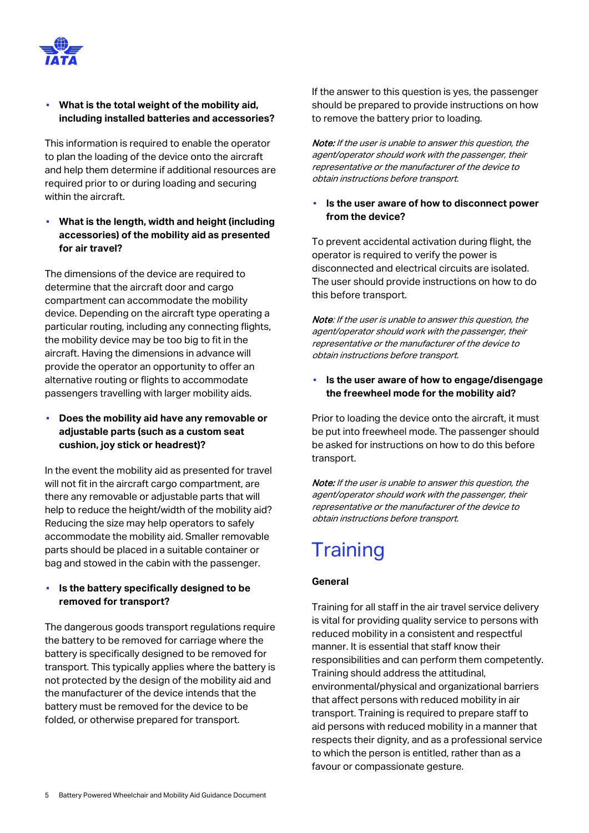

#### **What is the total weight of the mobility aid. including installed batteries and accessories?**

This information is required to enable the operator to plan the loading of the device onto the aircraft and help them determine if additional resources are required prior to or during loading and securing within the aircraft.

**What is the length, width and height (including accessories) of the mobility aid as presented for air travel?**

The dimensions of the device are required to determine that the aircraft door and cargo compartment can accommodate the mobility device. Depending on the aircraft type operating a particular routing, including any connecting flights, the mobility device may be too big to fit in the aircraft. Having the dimensions in advance will provide the operator an opportunity to offer an alternative routing or flights to accommodate passengers travelling with larger mobility aids.

**Does the mobility aid have any removable or adjustable parts (such as a custom seat cushion, joy stick or headrest)?**

In the event the mobility aid as presented for travel will not fit in the aircraft cargo compartment, are there any removable or adjustable parts that will help to reduce the height/width of the mobility aid? Reducing the size may help operators to safely accommodate the mobility aid. Smaller removable parts should be placed in a suitable container or bag and stowed in the cabin with the passenger.

#### Is the battery specifically designed to be **removed for transport?**

The dangerous goods transport regulations require the battery to be removed for carriage where the battery is specifically designed to be removed for transport. This typically applies where the battery is not protected by the design of the mobility aid and the manufacturer of the device intends that the battery must be removed for the device to be folded, or otherwise prepared for transport.

If the answer to this question is yes, the passenger should be prepared to provide instructions on how to remove the battery prior to loading.

Note: If the user is unable to answer this question, the agent/operator should work with the passenger, their representative or the manufacturer of the device to obtain instructions before transport.

#### ▪ **Is the user aware of how to disconnect power from the device?**

To prevent accidental activation during flight, the operator is required to verify the power is disconnected and electrical circuits are isolated. The user should provide instructions on how to do this before transport.

Note: If the user is unable to answer this question, the agent/operator should work with the passenger, their representative or the manufacturer of the device to obtain instructions before transport.

▪ **Is the user aware of how to engage/disengage the freewheel mode for the mobility aid?**

Prior to loading the device onto the aircraft, it must be put into freewheel mode. The passenger should be asked for instructions on how to do this before transport.

Note: If the user is unable to answer this question, the agent/operator should work with the passenger, their representative or the manufacturer of the device to obtain instructions before transport.

## **Training**

#### **General**

Training for all staff in the air travel service delivery is vital for providing quality service to persons with reduced mobility in a consistent and respectful manner. It is essential that staff know their responsibilities and can perform them competently. Training should address the attitudinal, environmental/physical and organizational barriers that affect persons with reduced mobility in air transport. Training is required to prepare staff to aid persons with reduced mobility in a manner that respects their dignity, and as a professional service to which the person is entitled, rather than as a favour or compassionate gesture.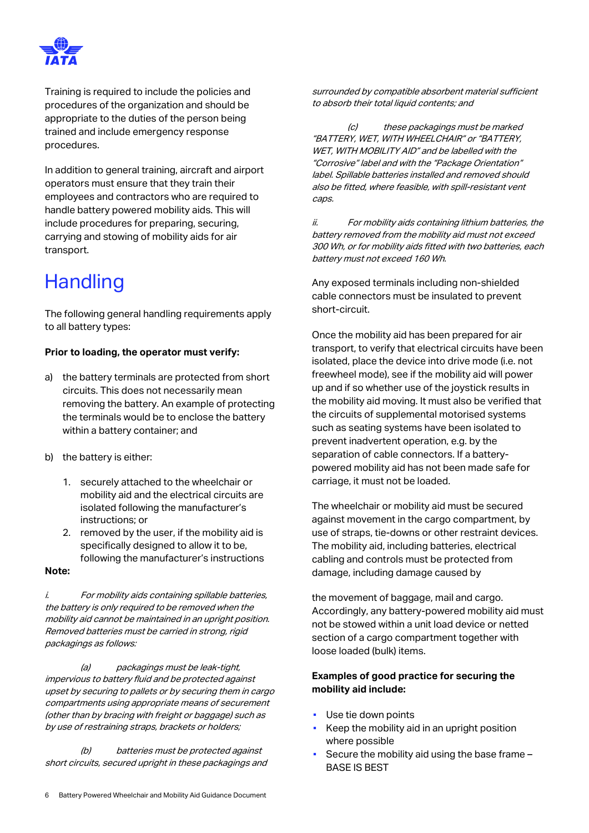

Training is required to include the policies and procedures of the organization and should be appropriate to the duties of the person being trained and include emergency response procedures.

In addition to general training, aircraft and airport operators must ensure that they train their employees and contractors who are required to handle battery powered mobility aids. This will include procedures for preparing, securing, carrying and stowing of mobility aids for air transport.

### **Handling**

The following general handling requirements apply to all battery types:

#### **Prior to loading, the operator must verify:**

- a) the battery terminals are protected from short circuits. This does not necessarily mean removing the battery. An example of protecting the terminals would be to enclose the battery within a battery container; and
- b) the battery is either:
	- 1. securely attached to the wheelchair or mobility aid and the electrical circuits are isolated following the manufacturer's instructions; or
	- 2. removed by the user, if the mobility aid is specifically designed to allow it to be, following the manufacturer's instructions
- **Note:**

i. For mobility aids containing spillable batteries, the battery is only required to be removed when the mobility aid cannot be maintained in an upright position. Removed batteries must be carried in strong, rigid packagings as follows:

(a) packagings must be leak-tight, impervious to battery fluid and be protected against upset by securing to pallets or by securing them in cargo compartments using appropriate means of securement (other than by bracing with freight or baggage) such as by use of restraining straps, brackets or holders;

(b) batteries must be protected against short circuits, secured upright in these packagings and surrounded by compatible absorbent material sufficient to absorb their total liquid contents; and

(c) these packagings must be marked "BATTERY, WET, WITH WHEELCHAIR" or "BATTERY, WET, WITH MOBILITY AID" and be labelled with the "Corrosive" label and with the "Package Orientation" label. Spillable batteries installed and removed should also be fitted, where feasible, with spill-resistant vent caps.

ii. For mobility aids containing lithium batteries, the battery removed from the mobility aid must not exceed 300 Wh, or for mobility aids fitted with two batteries, each battery must not exceed 160 Wh.

Any exposed terminals including non-shielded cable connectors must be insulated to prevent short-circuit.

Once the mobility aid has been prepared for air transport, to verify that electrical circuits have been isolated, place the device into drive mode (i.e. not freewheel mode), see if the mobility aid will power up and if so whether use of the joystick results in the mobility aid moving. It must also be verified that the circuits of supplemental motorised systems such as seating systems have been isolated to prevent inadvertent operation, e.g. by the separation of cable connectors. If a batterypowered mobility aid has not been made safe for carriage, it must not be loaded.

The wheelchair or mobility aid must be secured against movement in the cargo compartment, by use of straps, tie-downs or other restraint devices. The mobility aid, including batteries, electrical cabling and controls must be protected from damage, including damage caused by

the movement of baggage, mail and cargo. Accordingly, any battery-powered mobility aid must not be stowed within a unit load device or netted section of a cargo compartment together with loose loaded (bulk) items.

#### **Examples of good practice for securing the mobility aid include:**

- Use tie down points
- Keep the mobility aid in an upright position where possible
- Secure the mobility aid using the base frame -BASE IS BEST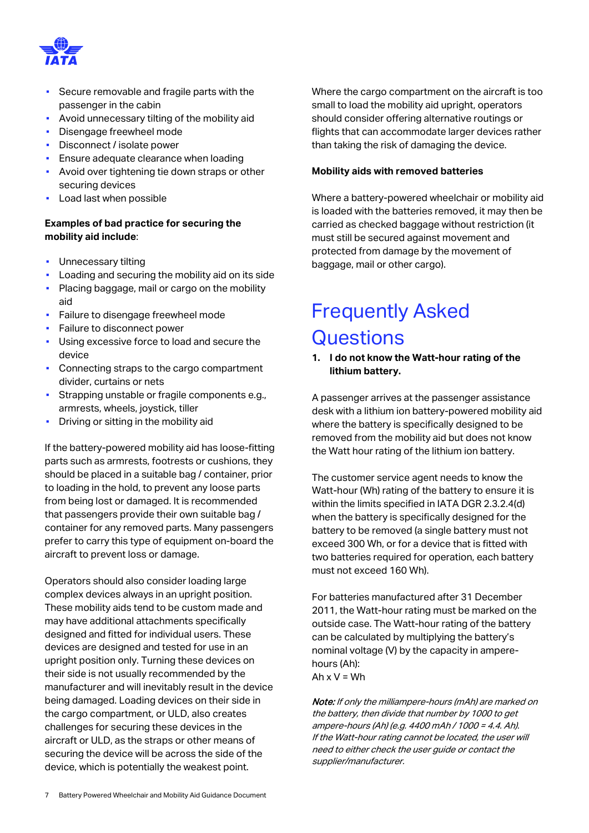

- Secure removable and fragile parts with the passenger in the cabin
- Avoid unnecessary tilting of the mobility aid
- Disengage freewheel mode
- Disconnect / isolate power
- **Ensure adequate clearance when loading**
- Avoid over tightening tie down straps or other securing devices
- Load last when possible

#### **Examples of bad practice for securing the mobility aid include**:

- Unnecessary tilting
- Loading and securing the mobility aid on its side
- Placing baggage, mail or cargo on the mobility aid
- **Failure to disengage freewheel mode**
- **•** Failure to disconnect power
- Using excessive force to load and secure the device
- Connecting straps to the cargo compartment divider, curtains or nets
- Strapping unstable or fragile components e.g., armrests, wheels, joystick, tiller
- Driving or sitting in the mobility aid

If the battery-powered mobility aid has loose-fitting parts such as armrests, footrests or cushions, they should be placed in a suitable bag / container, prior to loading in the hold, to prevent any loose parts from being lost or damaged. It is recommended that passengers provide their own suitable bag / container for any removed parts. Many passengers prefer to carry this type of equipment on-board the aircraft to prevent loss or damage.

Operators should also consider loading large complex devices always in an upright position. These mobility aids tend to be custom made and may have additional attachments specifically designed and fitted for individual users. These devices are designed and tested for use in an upright position only. Turning these devices on their side is not usually recommended by the manufacturer and will inevitably result in the device being damaged. Loading devices on their side in the cargo compartment, or ULD, also creates challenges for securing these devices in the aircraft or ULD, as the straps or other means of securing the device will be across the side of the device, which is potentially the weakest point.

Where the cargo compartment on the aircraft is too small to load the mobility aid upright, operators should consider offering alternative routings or flights that can accommodate larger devices rather than taking the risk of damaging the device.

#### **Mobility aids with removed batteries**

Where a battery-powered wheelchair or mobility aid is loaded with the batteries removed, it may then be carried as checked baggage without restriction (it must still be secured against movement and protected from damage by the movement of baggage, mail or other cargo).

### Frequently Asked **Questions**

**1. I do not know the Watt-hour rating of the lithium battery.**

A passenger arrives at the passenger assistance desk with a lithium ion battery-powered mobility aid where the battery is specifically designed to be removed from the mobility aid but does not know the Watt hour rating of the lithium ion battery.

The customer service agent needs to know the Watt-hour (Wh) rating of the battery to ensure it is within the limits specified in IATA DGR 2.3.2.4(d) when the battery is specifically designed for the battery to be removed (a single battery must not exceed 300 Wh, or for a device that is fitted with two batteries required for operation, each battery must not exceed 160 Wh).

For batteries manufactured after 31 December 2011, the Watt-hour rating must be marked on the outside case. The Watt-hour rating of the battery can be calculated by multiplying the battery's nominal voltage (V) by the capacity in amperehours (Ah): Ah  $x V = Wh$ 

Note: If only the milliampere-hours (mAh) are marked on the battery, then divide that number by 1000 to get ampere-hours (Ah) (e.g. 4400 mAh / 1000 = 4.4. Ah). If the Watt-hour rating cannot be located, the user will need to either check the user guide or contact the supplier/manufacturer.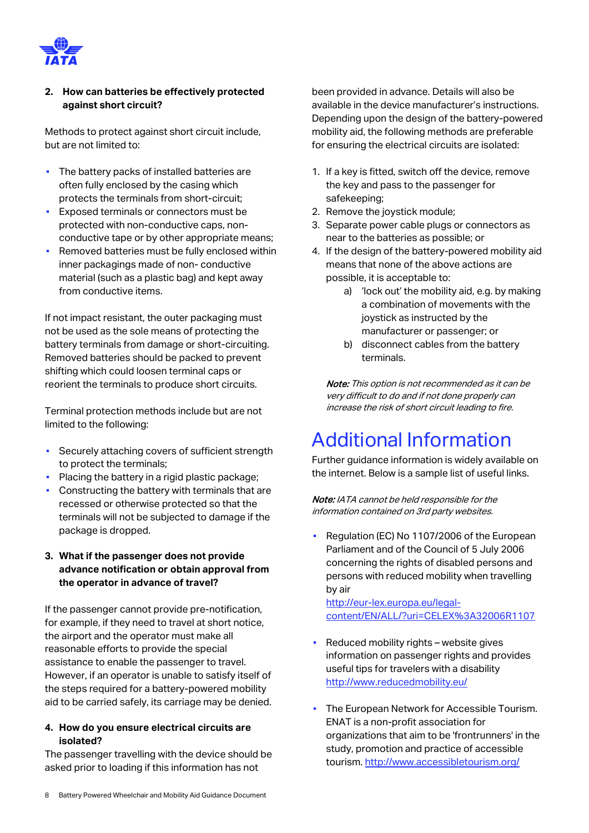

#### **2. How can batteries be effectively protected against short circuit?**

Methods to protect against short circuit include, but are not limited to:

- **·** The battery packs of installed batteries are often fully enclosed by the casing which protects the terminals from short-circuit;
- Exposed terminals or connectors must be protected with non-conductive caps, nonconductive tape or by other appropriate means;
- Removed batteries must be fully enclosed within inner packagings made of non- conductive material (such as a plastic bag) and kept away from conductive items.

If not impact resistant, the outer packaging must not be used as the sole means of protecting the battery terminals from damage or short-circuiting. Removed batteries should be packed to prevent shifting which could loosen terminal caps or reorient the terminals to produce short circuits.

Terminal protection methods include but are not limited to the following:

- **Securely attaching covers of sufficient strength** to protect the terminals;
- Placing the battery in a rigid plastic package;
- **Constructing the battery with terminals that are** recessed or otherwise protected so that the terminals will not be subjected to damage if the package is dropped.

#### **3. What if the passenger does not provide advance notification or obtain approval from the operator in advance of travel?**

If the passenger cannot provide pre-notification, for example, if they need to travel at short notice, the airport and the operator must make all reasonable efforts to provide the special assistance to enable the passenger to travel. However, if an operator is unable to satisfy itself of the steps required for a battery-powered mobility aid to be carried safely, its carriage may be denied.

#### **4. How do you ensure electrical circuits are isolated?**

The passenger travelling with the device should be asked prior to loading if this information has not

been provided in advance. Details will also be available in the device manufacturer's instructions. Depending upon the design of the battery-powered mobility aid, the following methods are preferable for ensuring the electrical circuits are isolated:

- 1. If a key is fitted, switch off the device, remove the key and pass to the passenger for safekeeping;
- 2. Remove the joystick module;
- 3. Separate power cable plugs or connectors as near to the batteries as possible; or
- 4. If the design of the battery-powered mobility aid means that none of the above actions are possible, it is acceptable to:
	- a) 'lock out' the mobility aid, e.g. by making a combination of movements with the joystick as instructed by the manufacturer or passenger; or
	- b) disconnect cables from the battery terminals.

Note: This option is not recommended as it can be very difficult to do and if not done properly can increase the risk of short circuit leading to fire.

## Additional Information

Further guidance information is widely available on the internet. Below is a sample list of useful links.

Note: IATA cannot be held responsible for the information contained on 3rd party websites.

Regulation (EC) No 1107/2006 of the European Parliament and of the Council of 5 July 2006 concerning the rights of disabled persons and persons with reduced mobility when travelling by air

[http://eur-lex.europa.eu/legal](http://eur-lex.europa.eu/legal-content/EN/ALL/?uri=CELEX%3A32006R1107)[content/EN/ALL/?uri=CELEX%3A32006R1107](http://eur-lex.europa.eu/legal-content/EN/ALL/?uri=CELEX%3A32006R1107)

- Reduced mobility rights website gives information on passenger rights and provides useful tips for travelers with a disability <http://www.reducedmobility.eu/>
- The European Network for Accessible Tourism. ENAT is a non-profit association for organizations that aim to be 'frontrunners' in the study, promotion and practice of accessible tourism. <http://www.accessibletourism.org/>